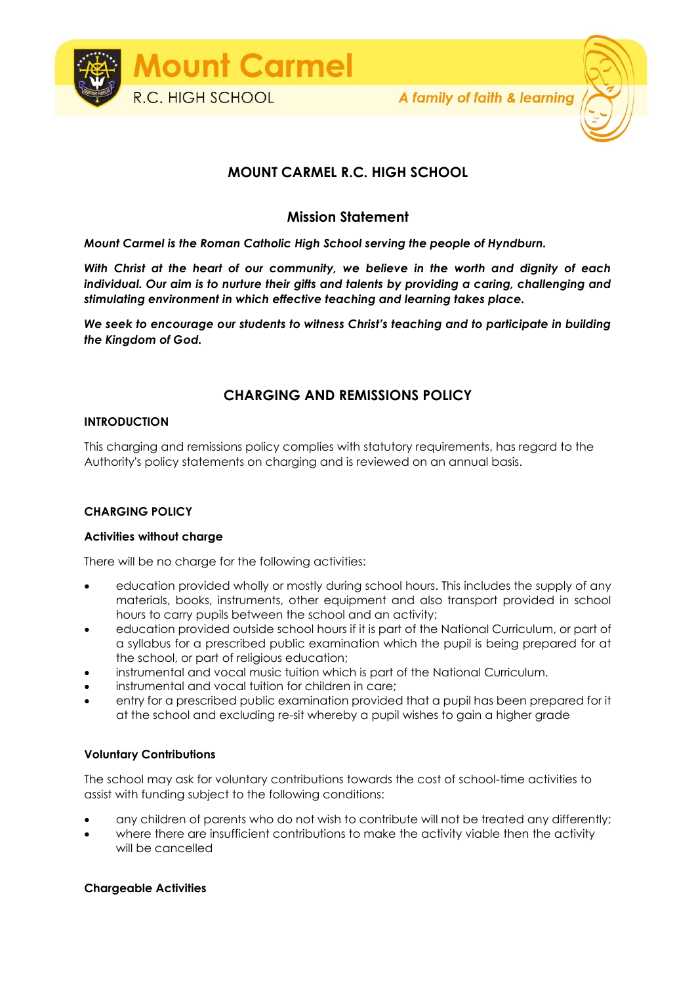

# **MOUNT CARMEL R.C. HIGH SCHOOL**

### **Mission Statement**

*Mount Carmel is the Roman Catholic High School serving the people of Hyndburn.*

*With Christ at the heart of our community, we believe in the worth and dignity of each individual. Our aim is to nurture their gifts and talents by providing a caring, challenging and stimulating environment in which effective teaching and learning takes place.*

*We seek to encourage our students to witness Christ's teaching and to participate in building the Kingdom of God.*

## **CHARGING AND REMISSIONS POLICY**

#### **INTRODUCTION**

This charging and remissions policy complies with statutory requirements, has regard to the Authority's policy statements on charging and is reviewed on an annual basis.

#### **CHARGING POLICY**

#### **Activities without charge**

There will be no charge for the following activities:

- education provided wholly or mostly during school hours. This includes the supply of any materials, books, instruments, other equipment and also transport provided in school hours to carry pupils between the school and an activity;
- education provided outside school hours if it is part of the National Curriculum, or part of a syllabus for a prescribed public examination which the pupil is being prepared for at the school, or part of religious education;
- instrumental and vocal music tuition which is part of the National Curriculum.
- instrumental and vocal tuition for children in care;
- entry for a prescribed public examination provided that a pupil has been prepared for it at the school and excluding re-sit whereby a pupil wishes to gain a higher grade

#### **Voluntary Contributions**

The school may ask for voluntary contributions towards the cost of school-time activities to assist with funding subject to the following conditions:

- any children of parents who do not wish to contribute will not be treated any differently;
- where there are insufficient contributions to make the activity viable then the activity will be cancelled

#### **Chargeable Activities**